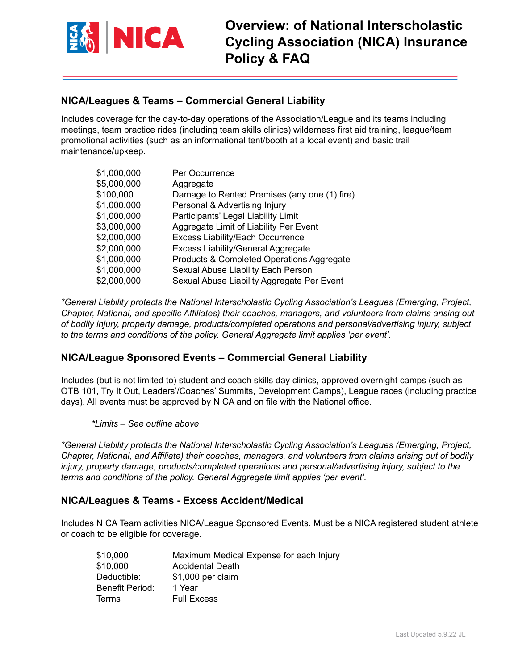

# **NICA/Leagues & Teams – Commercial General Liability**

Includes coverage for the day-to-day operations of the Association/League and its teams including meetings, team practice rides (including team skills clinics) wilderness first aid training, league/team promotional activities (such as an informational tent/booth at a local event) and basic trail maintenance/upkeep.

| \$1,000,000 | Per Occurrence                               |
|-------------|----------------------------------------------|
| \$5,000,000 | Aggregate                                    |
| \$100,000   | Damage to Rented Premises (any one (1) fire) |
| \$1,000,000 | Personal & Advertising Injury                |
| \$1,000,000 | Participants' Legal Liability Limit          |
| \$3,000,000 | Aggregate Limit of Liability Per Event       |
| \$2,000,000 | <b>Excess Liability/Each Occurrence</b>      |
| \$2,000,000 | <b>Excess Liability/General Aggregate</b>    |
| \$1,000,000 | Products & Completed Operations Aggregate    |
| \$1,000,000 | Sexual Abuse Liability Each Person           |
| \$2,000,000 | Sexual Abuse Liability Aggregate Per Event   |

*\*General Liability protects the National Interscholastic Cycling Association's Leagues (Emerging, Project, Chapter, National, and specific Affiliates) their coaches, managers, and volunteers from claims arising out of bodily injury, property damage, products/completed operations and personal/advertising injury, subject to the terms and conditions of the policy. General Aggregate limit applies 'per event'.*

## **NICA/League Sponsored Events – Commercial General Liability**

Includes (but is not limited to) student and coach skills day clinics, approved overnight camps (such as OTB 101, Try It Out, Leaders'/Coaches' Summits, Development Camps), League races (including practice days). All events must be approved by NICA and on file with the National office.

*\*Limits – See outline above*

*\*General Liability protects the National Interscholastic Cycling Association's Leagues (Emerging, Project, Chapter, National, and Affiliate) their coaches, managers, and volunteers from claims arising out of bodily injury, property damage, products/completed operations and personal/advertising injury, subject to the terms and conditions of the policy. General Aggregate limit applies 'per event'.*

## **NICA/Leagues & Teams - Excess Accident/Medical**

Includes NICA Team activities NICA/League Sponsored Events. Must be a NICA registered student athlete or coach to be eligible for coverage.

| \$10,000        | Maximum Medical Expense for each Injury |
|-----------------|-----------------------------------------|
| \$10,000        | Accidental Death                        |
| Deductible:     | \$1,000 per claim                       |
| Benefit Period: | 1 Year                                  |
| Terms           | <b>Full Excess</b>                      |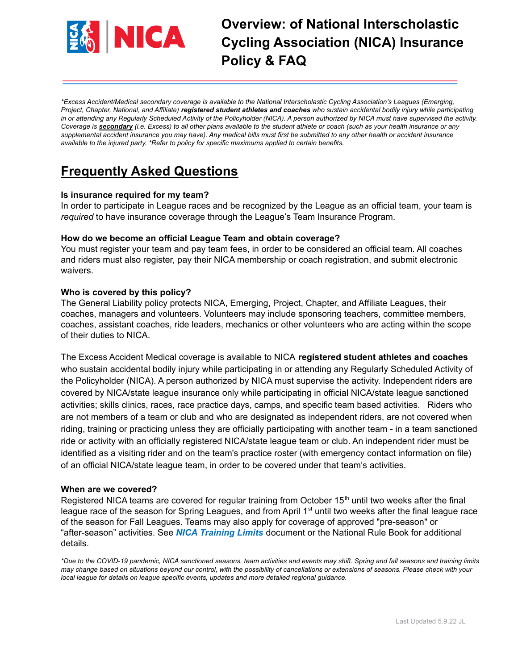

\*Excess Accident/Medical secondary coverage is available to the National Interscholastic Cycling Association's Leagues (Emerging, Project, Chapter, National, and Affiliate) registered student athletes and coaches who sustain accidental bodily injury while participating in or attending any Regularly Scheduled Activity of the Policyholder (NICA). A person authorized by NICA must have supervised the activity. Coverage is secondary (i.e. Excess) to all other plans available to the student athlete or coach (such as your health insurance or any supplemental accident insurance you may have). Any medical bills must first be submitted to any other health or accident insurance *available to the injured party. \*Refer to policy for specific maximums applied to certain benefits.*

# **Frequently Asked Questions**

#### **Is insurance required for my team?**

In order to participate in League races and be recognized by the League as an official team, your team is *required* to have insurance coverage through the League's Team Insurance Program.

#### **How do we become an official League Team and obtain coverage?**

You must register your team and pay team fees, in order to be considered an official team. All coaches and riders must also register, pay their NICA membership or coach registration, and submit electronic waivers.

### **Who is covered by this policy?**

The General Liability policy protects NICA, Emerging, Project, Chapter, and Affiliate Leagues, their coaches, managers and volunteers. Volunteers may include sponsoring teachers, committee members, coaches, assistant coaches, ride leaders, mechanics or other volunteers who are acting within the scope of their duties to NICA.

The Excess Accident Medical coverage is available to NICA **registered student athletes and coaches** who sustain accidental bodily injury while participating in or attending any Regularly Scheduled Activity of the Policyholder (NICA). A person authorized by NICA must supervise the activity. Independent riders are covered by NICA/state league insurance only while participating in official NICA/state league sanctioned activities; skills clinics, races, race practice days, camps, and specific team based activities. Riders who are not members of a team or club and who are designated as independent riders, are not covered when riding, training or practicing unless they are officially participating with another team - in a team sanctioned ride or activity with an officially registered NICA/state league team or club. An independent rider must be identified as a visiting rider and on the team's practice roster (with emergency contact information on file) of an official NICA/state league team, in order to be covered under that team's activities.

#### **When are we covered?**

Registered NICA teams are covered for regular training from October  $15<sup>th</sup>$  until two weeks after the final league race of the season for Spring Leagues, and from April  $1<sup>st</sup>$  until two weeks after the final league race of the season for Fall Leagues. Teams may also apply for coverage of approved "pre-season" or "after-season" activities. See *NICA Training Limits* document or the National Rule Book for additional details.

\*Due to the COVID-19 pandemic, NICA sanctioned seasons, team activities and events may shift. Spring and fall seasons and training limits may change based on situations beyond our control, with the possibility of cancellations or extensions of seasons. Please check with your *local league for details on league specific events, updates and more detailed regional guidance.*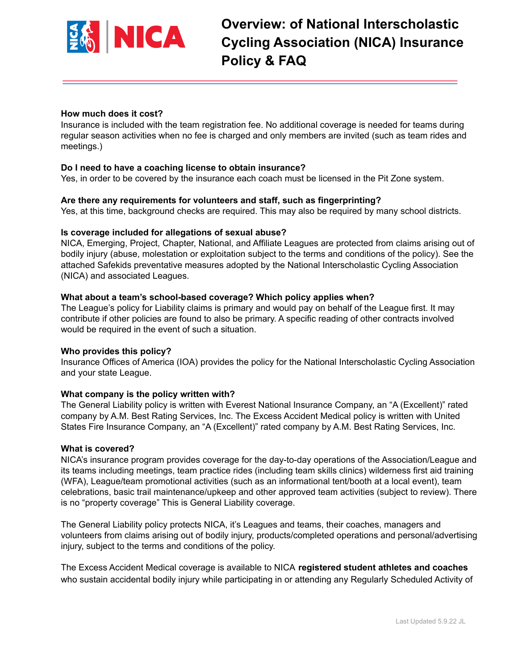

#### **How much does it cost?**

Insurance is included with the team registration fee. No additional coverage is needed for teams during regular season activities when no fee is charged and only members are invited (such as team rides and meetings.)

#### **Do I need to have a coaching license to obtain insurance?**

Yes, in order to be covered by the insurance each coach must be licensed in the Pit Zone system.

#### **Are there any requirements for volunteers and staff, such as fingerprinting?**

Yes, at this time, background checks are required. This may also be required by many school districts.

#### **Is coverage included for allegations of sexual abuse?**

NICA, Emerging, Project, Chapter, National, and Affiliate Leagues are protected from claims arising out of bodily injury (abuse, molestation or exploitation subject to the terms and conditions of the policy). See the attached Safekids preventative measures adopted by the National Interscholastic Cycling Association (NICA) and associated Leagues.

#### **What about a team's school-based coverage? Which policy applies when?**

The League's policy for Liability claims is primary and would pay on behalf of the League first. It may contribute if other policies are found to also be primary. A specific reading of other contracts involved would be required in the event of such a situation.

#### **Who provides this policy?**

Insurance Offices of America (IOA) provides the policy for the National Interscholastic Cycling Association and your state League.

#### **What company is the policy written with?**

The General Liability policy is written with Everest National Insurance Company, an "A (Excellent)" rated company by A.M. Best Rating Services, Inc. The Excess Accident Medical policy is written with United States Fire Insurance Company, an "A (Excellent)" rated company by A.M. Best Rating Services, Inc.

#### **What is covered?**

NICA's insurance program provides coverage for the day-to-day operations of the Association/League and its teams including meetings, team practice rides (including team skills clinics) wilderness first aid training (WFA), League/team promotional activities (such as an informational tent/booth at a local event), team celebrations, basic trail maintenance/upkeep and other approved team activities (subject to review). There is no "property coverage" This is General Liability coverage.

The General Liability policy protects NICA, it's Leagues and teams, their coaches, managers and volunteers from claims arising out of bodily injury, products/completed operations and personal/advertising injury, subject to the terms and conditions of the policy.

The Excess Accident Medical coverage is available to NICA **registered student athletes and coaches** who sustain accidental bodily injury while participating in or attending any Regularly Scheduled Activity of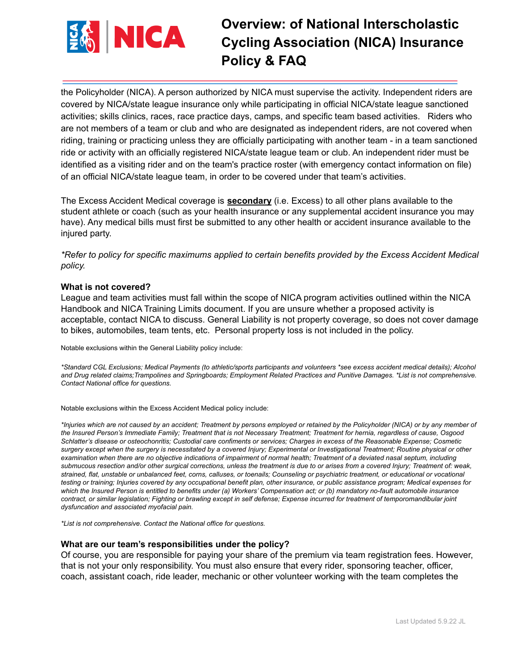

the Policyholder (NICA). A person authorized by NICA must supervise the activity. Independent riders are covered by NICA/state league insurance only while participating in official NICA/state league sanctioned activities; skills clinics, races, race practice days, camps, and specific team based activities. Riders who are not members of a team or club and who are designated as independent riders, are not covered when riding, training or practicing unless they are officially participating with another team - in a team sanctioned ride or activity with an officially registered NICA/state league team or club. An independent rider must be identified as a visiting rider and on the team's practice roster (with emergency contact information on file) of an official NICA/state league team, in order to be covered under that team's activities.

The Excess Accident Medical coverage is **secondary** (i.e. Excess) to all other plans available to the student athlete or coach (such as your health insurance or any supplemental accident insurance you may have). Any medical bills must first be submitted to any other health or accident insurance available to the injured party.

*\*Refer to policy for specific maximums applied to certain benefits provided by the Excess Accident Medical policy.*

#### **What is not covered?**

League and team activities must fall within the scope of NICA program activities outlined within the NICA Handbook and NICA Training Limits document. If you are unsure whether a proposed activity is acceptable, contact NICA to discuss. General Liability is not property coverage, so does not cover damage to bikes, automobiles, team tents, etc. Personal property loss is not included in the policy.

Notable exclusions within the General Liability policy include:

\*Standard CGL Exclusions; Medical Payments (to athletic/sports participants and volunteers \*see excess accident medical details); Alcohol and Drug related claims; Trampolines and Springboards; Employment Related Practices and Punitive Damages. \*List is not comprehensive. *Contact National office for questions.*

Notable exclusions within the Excess Accident Medical policy include:

\*Injuries which are not caused by an accident; Treatment by persons employed or retained by the Policyholder (NICA) or by any member of the Insured Person's Immediate Family; Treatment that is not Necessary Treatment; Treatment for hernia, regardless of cause, Osgood Schlatter's disease or osteochonritis; Custodial care confiments or services; Charges in excess of the Reasonable Expense; Cosmetic surgery except when the surgery is necessitated by a covered Injury; Experimental or Investigational Treatment; Routine physical or other examination when there are no objective indications of impairment of normal health; Treatment of a deviated nasal septum, including submucous resection and/or other surgical corrections, unless the treatment is due to or arises from a covered Injury; Treatment of: weak, strained, flat, unstable or unbalanced feet, corns, calluses, or toenails; Counseling or psychiatric treatment, or educational or vocational testing or training; Injuries covered by any occupational benefit plan, other insurance, or public assistance program; Medical expenses for which the Insured Person is entitled to benefits under (a) Workers' Compensation act; or (b) mandatory no-fault automobile insurance contract, or similar legislation; Fighting or brawling except in self defense; Expense incurred for treatment of temporomandibular joint *dysfuncation and associated myofacial pain.*

*\*List is not comprehensive. Contact the National office for questions.*

#### **What are our team's responsibilities under the policy?**

Of course, you are responsible for paying your share of the premium via team registration fees. However, that is not your only responsibility. You must also ensure that every rider, sponsoring teacher, officer, coach, assistant coach, ride leader, mechanic or other volunteer working with the team completes the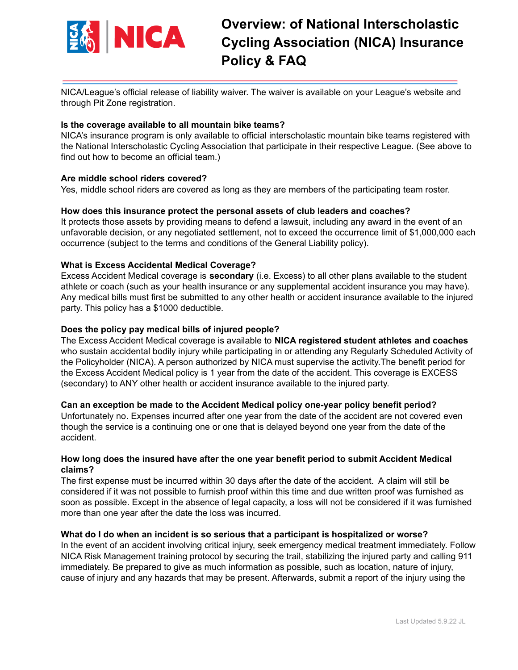

NICA/League's official release of liability waiver. The waiver is available on your League's website and through Pit Zone registration.

#### **Is the coverage available to all mountain bike teams?**

NICA's insurance program is only available to official interscholastic mountain bike teams registered with the National Interscholastic Cycling Association that participate in their respective League. (See above to find out how to become an official team.)

#### **Are middle school riders covered?**

Yes, middle school riders are covered as long as they are members of the participating team roster.

#### **How does this insurance protect the personal assets of club leaders and coaches?**

It protects those assets by providing means to defend a lawsuit, including any award in the event of an unfavorable decision, or any negotiated settlement, not to exceed the occurrence limit of \$1,000,000 each occurrence (subject to the terms and conditions of the General Liability policy).

### **What is Excess Accidental Medical Coverage?**

Excess Accident Medical coverage is **secondary** (i.e. Excess) to all other plans available to the student athlete or coach (such as your health insurance or any supplemental accident insurance you may have). Any medical bills must first be submitted to any other health or accident insurance available to the injured party. This policy has a \$1000 deductible.

#### **Does the policy pay medical bills of injured people?**

The Excess Accident Medical coverage is available to **NICA registered student athletes and coaches** who sustain accidental bodily injury while participating in or attending any Regularly Scheduled Activity of the Policyholder (NICA). A person authorized by NICA must supervise the activity.The benefit period for the Excess Accident Medical policy is 1 year from the date of the accident. This coverage is EXCESS (secondary) to ANY other health or accident insurance available to the injured party.

#### **Can an exception be made to the Accident Medical policy one-year policy benefit period?**

Unfortunately no. Expenses incurred after one year from the date of the accident are not covered even though the service is a continuing one or one that is delayed beyond one year from the date of the accident.

#### **How long does the insured have after the one year benefit period to submit Accident Medical claims?**

The first expense must be incurred within 30 days after the date of the accident. A claim will still be considered if it was not possible to furnish proof within this time and due written proof was furnished as soon as possible. Except in the absence of legal capacity, a loss will not be considered if it was furnished more than one year after the date the loss was incurred.

#### **What do I do when an incident is so serious that a participant is hospitalized or worse?**

In the event of an accident involving critical injury, seek emergency medical treatment immediately. Follow NICA Risk Management training protocol by securing the trail, stabilizing the injured party and calling 911 immediately. Be prepared to give as much information as possible, such as location, nature of injury, cause of injury and any hazards that may be present. Afterwards, submit a report of the injury using the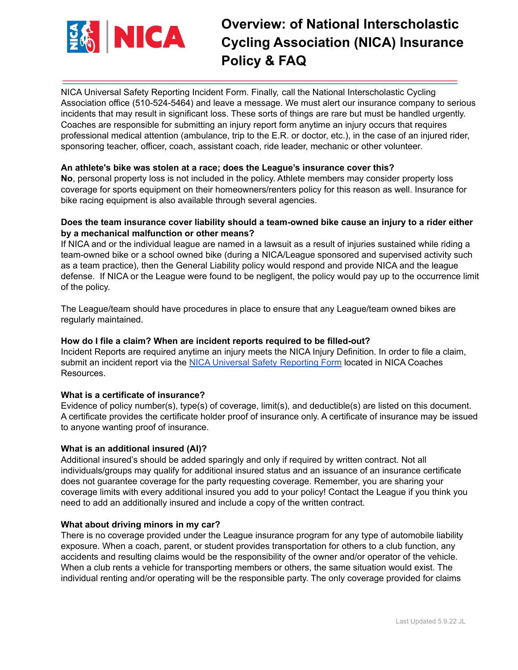

NICA Universal Safety Reporting Incident Form. Finally, call the National Interscholastic Cycling Association office (510-524-5464) and leave a message. We must alert our insurance company to serious incidents that may result in significant loss. These sorts of things are rare but must be handled urgently. Coaches are responsible for submitting an injury report form anytime an injury occurs that requires professional medical attention (ambulance, trip to the E.R. or doctor, etc.), in the case of an injured rider, sponsoring teacher, officer, coach, assistant coach, ride leader, mechanic or other volunteer.

### **An athlete's bike was stolen at a race; does the League's insurance cover this?**

**No**, personal property loss is not included in the policy. Athlete members may consider property loss coverage for sports equipment on their homeowners/renters policy for this reason as well. Insurance for bike racing equipment is also available through several agencies.

### **Does the team insurance cover liability should a team-owned bike cause an injury to a rider either by a mechanical malfunction or other means?**

If NICA and or the individual league are named in a lawsuit as a result of injuries sustained while riding a team-owned bike or a school owned bike (during a NICA/League sponsored and supervised activity such as a team practice), then the General Liability policy would respond and provide NICA and the league defense. If NICA or the League were found to be negligent, the policy would pay up to the occurrence limit of the policy.

The League/team should have procedures in place to ensure that any League/team owned bikes are regularly maintained.

## **How do I file a claim? When are incident reports required to be filled-out?**

Incident Reports are required anytime an injury meets the NICA Injury Definition. In order to file a claim, submit an incident report via the [NICA Universal Safety](https://redcap01.brisc.utah.edu/ccts/redcap/surveys/?s=E8XX9FTNHP&athlete_id=99999) Reporting Form located in NICA Coaches Resources.

#### **What is a certificate of insurance?**

Evidence of policy number(s), type(s) of coverage, limit(s), and deductible(s) are listed on this document. A certificate provides the certificate holder proof of insurance only. A certificate of insurance may be issued to anyone wanting proof of insurance.

#### **What is an additional insured (AI)?**

Additional insured's should be added sparingly and only if required by written contract. Not all individuals/groups may qualify for additional insured status and an issuance of an insurance certificate does not guarantee coverage for the party requesting coverage. Remember, you are sharing your coverage limits with every additional insured you add to your policy! Contact the League if you think you need to add an additionally insured and include a copy of the written contract.

#### **What about driving minors in my car?**

There is no coverage provided under the League insurance program for any type of automobile liability exposure. When a coach, parent, or student provides transportation for others to a club function, any accidents and resulting claims would be the responsibility of the owner and/or operator of the vehicle. When a club rents a vehicle for transporting members or others, the same situation would exist. The individual renting and/or operating will be the responsible party. The only coverage provided for claims